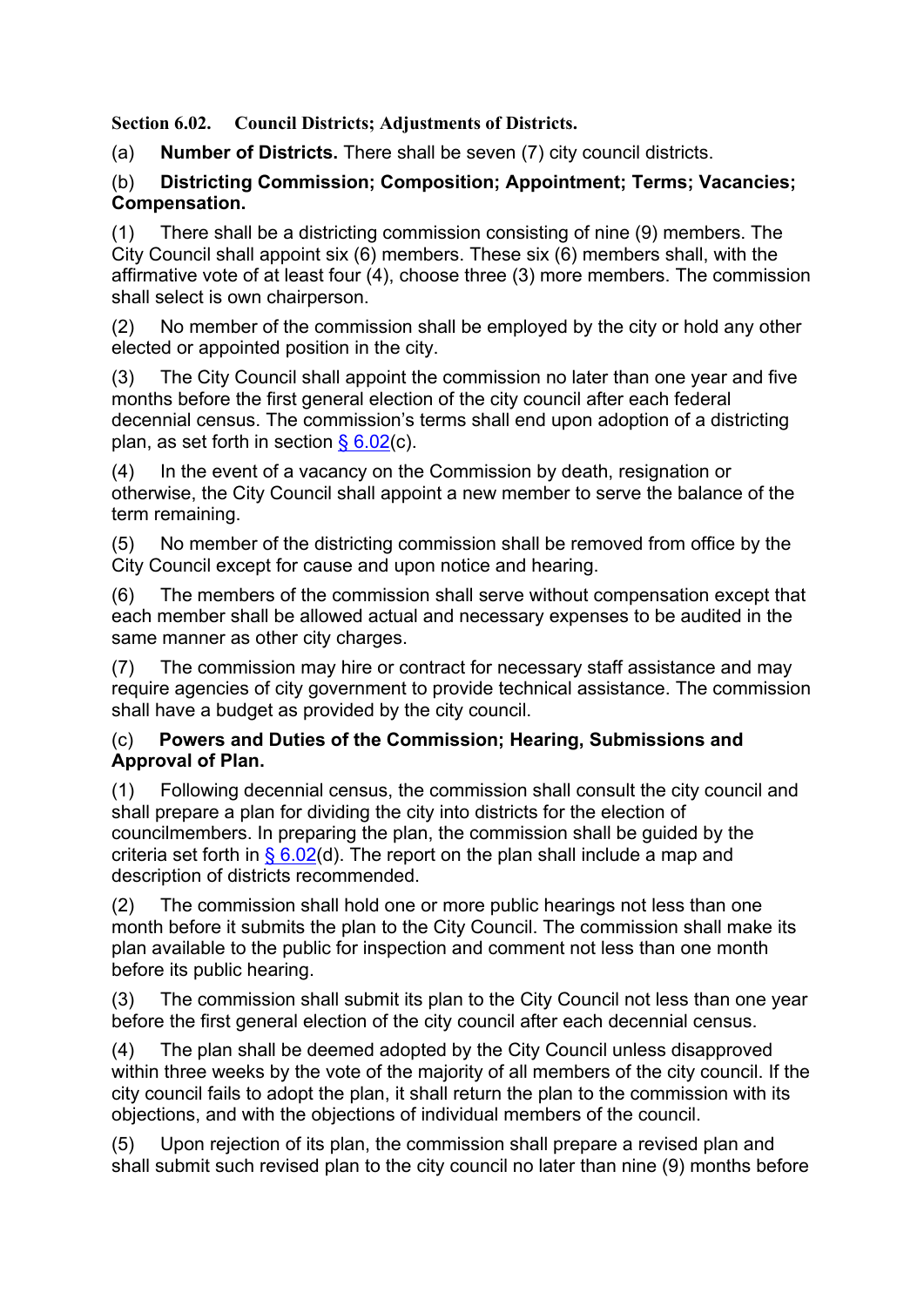**Section 6.02. Council Districts; Adjustments of Districts.**

(a) **Number of Districts.** There shall be seven (7) city council districts.

## (b) **Districting Commission; Composition; Appointment; Terms; Vacancies; Compensation.**

(1) There shall be a districting commission consisting of nine (9) members. The City Council shall appoint six  $(6)$  members. These six  $(6)$  members shall, with the affirmative vote of at least four (4), choose three (3) more members. The commission shall select is own chairperson.

(2) No member of the commission shall be employed by the city or hold any other elected or appointed position in the city.

(3) The City Council shall appoint the commission no later than one year and five months before the first general election of the city council after each federal decennial census. The commission's terms shall end upon adoption of a districting plan, as set forth in section  $\S 6.02(c)$ .

(4) In the event of a vacancy on the Commission by death, resignation or otherwise, the City Council shall appoint a new member to serve the balance of the term remaining.

(5) No member of the districting commission shall be removed from office by the City Council except for cause and upon notice and hearing.

(6) The members of the commission shall serve without compensation except that each member shall be allowed actual and necessary expenses to be audited in the same manner as other city charges.

(7) The commission may hire or contract for necessary staff assistance and may require agencies of city government to provide technical assistance. The commission shall have a budget as provided by the city council.

## (c) **Powers and Duties of the Commission; Hearing, Submissions and Approval of Plan.**

(1) Following decennial census, the commission shall consult the city council and shall prepare a plan for dividing the city into districts for the election of councilmembers. In preparing the plan, the commission shall be guided by the criteria set forth in  $\S 6.02$ (d). The report on the plan shall include a map and description of districts recommended.

(2) The commission shall hold one or more public hearings not less than one month before it submits the plan to the City Council. The commission shall make its plan available to the public for inspection and comment not less than one month before its public hearing.

(3) The commission shall submit its plan to the City Council not less than one year before the first general election of the city council after each decennial census.

(4) The plan shall be deemed adopted by the City Council unless disapproved within three weeks by the vote of the majority of all members of the city council. If the city council fails to adopt the plan, it shall return the plan to the commission with its objections, and with the objections of individual members of the council.

(5) Upon rejection of its plan, the commission shall prepare a revised plan and shall submit such revised plan to the city council no later than nine (9) months before